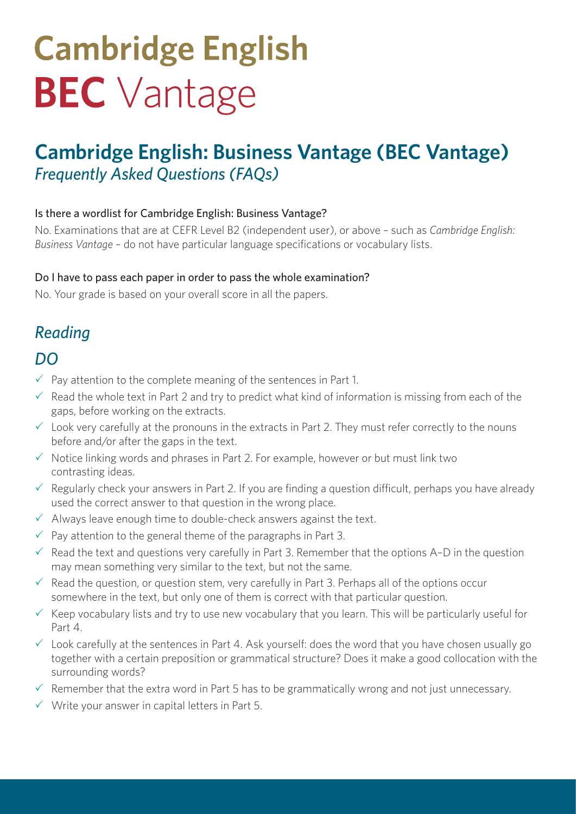# **Cambridge English BEC** Vantage

# **Cambridge English: Business Vantage (BEC Vantage)** *Frequently Asked Questions (FAQs)*

### Is there a wordlist for Cambridge English: Business Vantage?

No. Examinations that are at CEFR Level B2 (independent user), or above – such as *Cambridge English: Business Vantage* – do not have particular language specifications or vocabulary lists.

### Do I have to pass each paper in order to pass the whole examination?

No. Your grade is based on your overall score in all the papers.

# *Reading*

### *DO*

- $\checkmark$  Pay attention to the complete meaning of the sentences in Part 1.
- $\checkmark$  Read the whole text in Part 2 and try to predict what kind of information is missing from each of the gaps, before working on the extracts.
- $\checkmark$  Look very carefully at the pronouns in the extracts in Part 2. They must refer correctly to the nouns before and/or after the gaps in the text.
- $\checkmark$  Notice linking words and phrases in Part 2. For example, however or but must link two contrasting ideas.
- $\checkmark$  Regularly check your answers in Part 2. If you are finding a question difficult, perhaps you have already used the correct answer to that question in the wrong place.
- $\checkmark$  Always leave enough time to double-check answers against the text.
- $\sqrt{ }$  Pay attention to the general theme of the paragraphs in Part 3.
- $\checkmark$  Read the text and questions very carefully in Part 3. Remember that the options A–D in the question may mean something very similar to the text, but not the same.
- $\checkmark$  Read the question, or question stem, very carefully in Part 3. Perhaps all of the options occur somewhere in the text, but only one of them is correct with that particular question.
- $\checkmark$  Keep vocabulary lists and try to use new vocabulary that you learn. This will be particularly useful for Part 4.
- $\checkmark$  Look carefully at the sentences in Part 4. Ask yourself: does the word that you have chosen usually go together with a certain preposition or grammatical structure? Does it make a good collocation with the surrounding words?
- $\checkmark$  Remember that the extra word in Part 5 has to be grammatically wrong and not just unnecessary.
- $\checkmark$  Write your answer in capital letters in Part 5.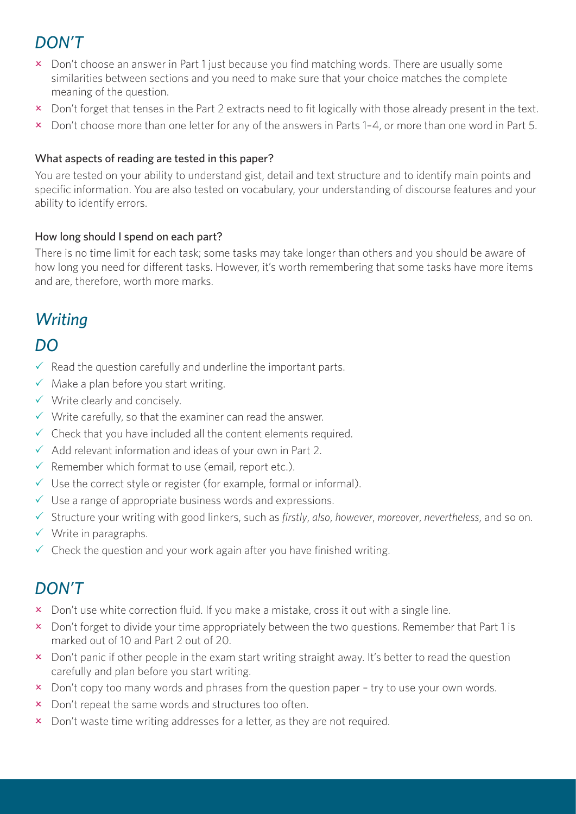# *DON'T*

- **x** Don't choose an answer in Part 1 just because you find matching words. There are usually some similarities between sections and you need to make sure that your choice matches the complete meaning of the question.
- x Don't forget that tenses in the Part 2 extracts need to fit logically with those already present in the text.
- $\overline{\phantom{a}}$  Don't choose more than one letter for any of the answers in Parts 1–4, or more than one word in Part 5.

### What aspects of reading are tested in this paper?

You are tested on your ability to understand gist, detail and text structure and to identify main points and specific information. You are also tested on vocabulary, your understanding of discourse features and your ability to identify errors.

### How long should I spend on each part?

There is no time limit for each task; some tasks may take longer than others and you should be aware of how long you need for different tasks. However, it's worth remembering that some tasks have more items and are, therefore, worth more marks.

# *Writing*

### *DO*

- $\checkmark$  Read the question carefully and underline the important parts.
- $\checkmark$  Make a plan before you start writing.
- $\checkmark$  Write clearly and concisely.
- $\checkmark$  Write carefully, so that the examiner can read the answer.
- $\checkmark$  Check that you have included all the content elements required.
- $\checkmark$  Add relevant information and ideas of your own in Part 2.
- $\checkmark$  Remember which format to use (email, report etc.).
- $\checkmark$  Use the correct style or register (for example, formal or informal).
- $\checkmark$  Use a range of appropriate business words and expressions.
- P Structure your writing with good linkers, such as *firstly*, *also*, *however*, *moreover*, *nevertheless*, and so on.
- $\checkmark$  Write in paragraphs.
- $\checkmark$  Check the question and your work again after you have finished writing.

### *DON'T*

- **x** Don't use white correction fluid. If you make a mistake, cross it out with a single line.
- x Don't forget to divide your time appropriately between the two questions. Remember that Part 1 is marked out of 10 and Part 2 out of 20.
- x Don't panic if other people in the exam start writing straight away. It's better to read the question carefully and plan before you start writing.
- $\boldsymbol{\times}$  Don't copy too many words and phrases from the question paper try to use your own words.
- x Don't repeat the same words and structures too often.
- **x** Don't waste time writing addresses for a letter, as they are not required.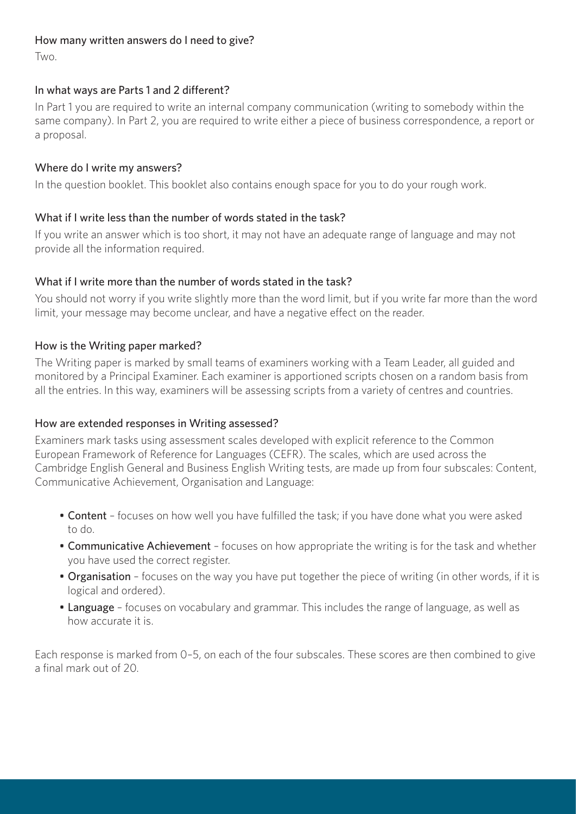#### How many written answers do I need to give?

Two.

### In what ways are Parts 1 and 2 different?

In Part 1 you are required to write an internal company communication (writing to somebody within the same company). In Part 2, you are required to write either a piece of business correspondence, a report or a proposal.

### Where do I write my answers?

In the question booklet. This booklet also contains enough space for you to do your rough work.

### What if I write less than the number of words stated in the task?

If you write an answer which is too short, it may not have an adequate range of language and may not provide all the information required.

### What if I write more than the number of words stated in the task?

You should not worry if you write slightly more than the word limit, but if you write far more than the word limit, your message may become unclear, and have a negative effect on the reader.

### How is the Writing paper marked?

The Writing paper is marked by small teams of examiners working with a Team Leader, all guided and monitored by a Principal Examiner. Each examiner is apportioned scripts chosen on a random basis from all the entries. In this way, examiners will be assessing scripts from a variety of centres and countries.

#### How are extended responses in Writing assessed?

Examiners mark tasks using assessment scales developed with explicit reference to the Common European Framework of Reference for Languages (CEFR). The scales, which are used across the Cambridge English General and Business English Writing tests, are made up from four subscales: Content, Communicative Achievement, Organisation and Language:

- Content focuses on how well you have fulfilled the task; if you have done what you were asked to do.
- Communicative Achievement focuses on how appropriate the writing is for the task and whether you have used the correct register.
- Organisation focuses on the way you have put together the piece of writing (in other words, if it is logical and ordered).
- Language focuses on vocabulary and grammar. This includes the range of language, as well as how accurate it is.

Each response is marked from 0–5, on each of the four subscales. These scores are then combined to give a final mark out of 20.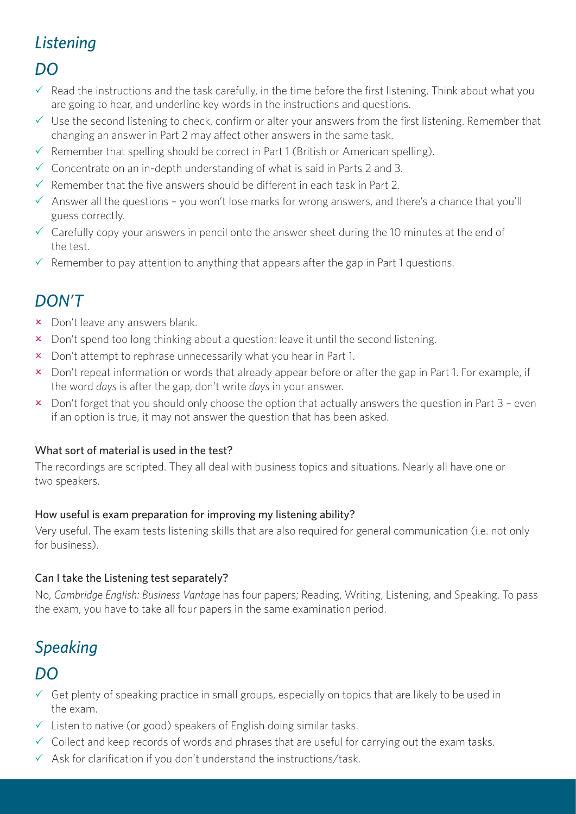# *Listening*

### *DO*

- $\checkmark$  Read the instructions and the task carefully, in the time before the first listening. Think about what you are going to hear, and underline key words in the instructions and questions.
- $\checkmark$  Use the second listening to check, confirm or alter your answers from the first listening. Remember that changing an answer in Part 2 may affect other answers in the same task.
- $\checkmark$  Remember that spelling should be correct in Part 1 (British or American spelling).
- $\checkmark$  Concentrate on an in-depth understanding of what is said in Parts 2 and 3.
- $\checkmark$  Remember that the five answers should be different in each task in Part 2.
- $\checkmark$  Answer all the questions you won't lose marks for wrong answers, and there's a chance that you'll guess correctly.
- $\checkmark$  Carefully copy your answers in pencil onto the answer sheet during the 10 minutes at the end of the test.
- $\checkmark$  Remember to pay attention to anything that appears after the gap in Part 1 questions.

# *DON'T*

- $\times$  Don't leave any answers blank.
- x Don't spend too long thinking about a question: leave it until the second listening.
- $\times$  Don't attempt to rephrase unnecessarily what you hear in Part 1.
- x Don't repeat information or words that already appear before or after the gap in Part 1. For example, if the word *days* is after the gap, don't write *days* in your answer.
- $\overline{\phantom{a}}$  Don't forget that you should only choose the option that actually answers the question in Part 3 even if an option is true, it may not answer the question that has been asked.

### What sort of material is used in the test?

The recordings are scripted. They all deal with business topics and situations. Nearly all have one or two speakers.

### How useful is exam preparation for improving my listening ability?

Very useful. The exam tests listening skills that are also required for general communication (i.e. not only for business).

### Can I take the Listening test separately?

No, *Cambridge English: Business Vantage* has four papers; Reading, Writing, Listening, and Speaking. To pass the exam, you have to take all four papers in the same examination period.

# *Speaking*

### *DO*

- $\checkmark$  Get plenty of speaking practice in small groups, especially on topics that are likely to be used in the exam.
- $\checkmark$  Listen to native (or good) speakers of English doing similar tasks.
- $\checkmark$  Collect and keep records of words and phrases that are useful for carrying out the exam tasks.
- $\checkmark$  Ask for clarification if you don't understand the instructions/task.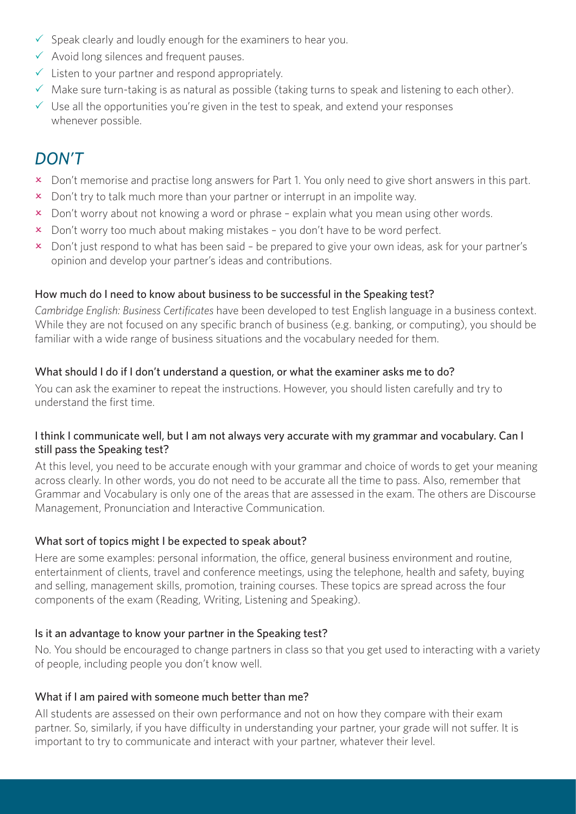- $\checkmark$  Speak clearly and loudly enough for the examiners to hear you.
- $\checkmark$  Avoid long silences and frequent pauses.
- $\checkmark$  Listen to your partner and respond appropriately.
- $\checkmark$  Make sure turn-taking is as natural as possible (taking turns to speak and listening to each other).
- $\checkmark$  Use all the opportunities you're given in the test to speak, and extend your responses whenever possible.

# *DON'T*

- x Don't memorise and practise long answers for Part 1. You only need to give short answers in this part.
- $\overline{\mathbf{x}}$  Don't try to talk much more than your partner or interrupt in an impolite way.
- $\overline{\mathsf{x}}$  Don't worry about not knowing a word or phrase explain what you mean using other words.
- $\boldsymbol{\times}$  Don't worry too much about making mistakes you don't have to be word perfect.
- x Don't just respond to what has been said be prepared to give your own ideas, ask for your partner's opinion and develop your partner's ideas and contributions.

### How much do I need to know about business to be successful in the Speaking test?

*Cambridge English: Business Certificates* have been developed to test English language in a business context. While they are not focused on any specific branch of business (e.g. banking, or computing), you should be familiar with a wide range of business situations and the vocabulary needed for them.

### What should I do if I don't understand a question, or what the examiner asks me to do?

You can ask the examiner to repeat the instructions. However, you should listen carefully and try to understand the first time.

### I think I communicate well, but I am not always very accurate with my grammar and vocabulary. Can I still pass the Speaking test?

At this level, you need to be accurate enough with your grammar and choice of words to get your meaning across clearly. In other words, you do not need to be accurate all the time to pass. Also, remember that Grammar and Vocabulary is only one of the areas that are assessed in the exam. The others are Discourse Management, Pronunciation and Interactive Communication.

### What sort of topics might I be expected to speak about?

Here are some examples: personal information, the office, general business environment and routine, entertainment of clients, travel and conference meetings, using the telephone, health and safety, buying and selling, management skills, promotion, training courses. These topics are spread across the four components of the exam (Reading, Writing, Listening and Speaking).

### Is it an advantage to know your partner in the Speaking test?

No. You should be encouraged to change partners in class so that you get used to interacting with a variety of people, including people you don't know well.

#### What if I am paired with someone much better than me?

All students are assessed on their own performance and not on how they compare with their exam partner. So, similarly, if you have difficulty in understanding your partner, your grade will not suffer. It is important to try to communicate and interact with your partner, whatever their level.